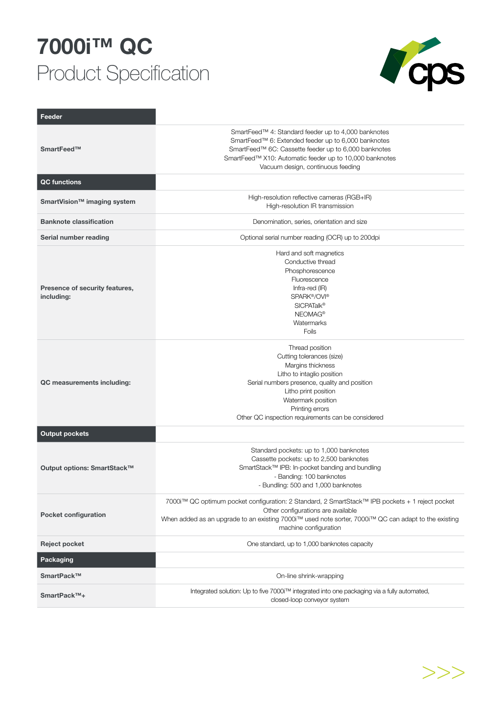## **7000i™ QC**  Product Specification



| Feeder                                       |                                                                                                                                                                                                                                                                         |
|----------------------------------------------|-------------------------------------------------------------------------------------------------------------------------------------------------------------------------------------------------------------------------------------------------------------------------|
| SmartFeed™                                   | SmartFeed™ 4: Standard feeder up to 4,000 banknotes<br>SmartFeed™ 6: Extended feeder up to 6,000 banknotes<br>SmartFeed™ 6C: Cassette feeder up to 6,000 banknotes<br>SmartFeed™ X10: Automatic feeder up to 10,000 banknotes<br>Vacuum design, continuous feeding      |
| <b>QC</b> functions                          |                                                                                                                                                                                                                                                                         |
| SmartVision <sup>™</sup> imaging system      | High-resolution reflective cameras (RGB+IR)<br>High-resolution IR transmission                                                                                                                                                                                          |
| <b>Banknote classification</b>               | Denomination, series, orientation and size                                                                                                                                                                                                                              |
| Serial number reading                        | Optional serial number reading (OCR) up to 200dpi                                                                                                                                                                                                                       |
| Presence of security features,<br>including: | Hard and soft magnetics<br>Conductive thread<br>Phosphorescence<br>Fluorescence<br>Infra-red (IR)<br>SPARK®/OVI®<br><b>SICPATalk®</b><br>NEOMAG <sup>®</sup><br>Watermarks<br>Foils                                                                                     |
| QC measurements including:                   | Thread position<br>Cutting tolerances (size)<br>Margins thickness<br>Litho to intaglio position<br>Serial numbers presence, quality and position<br>Litho print position<br>Watermark position<br>Printing errors<br>Other QC inspection requirements can be considered |
| <b>Output pockets</b>                        |                                                                                                                                                                                                                                                                         |
| Output options: SmartStack™                  | Standard pockets: up to 1,000 banknotes<br>Cassette pockets: up to 2,500 banknotes<br>SmartStack™ IPB: In-pocket banding and bundling<br>- Banding: 100 banknotes<br>- Bundling: 500 and 1,000 banknotes                                                                |
| <b>Pocket configuration</b>                  | 7000i™ QC optimum pocket configuration: 2 Standard, 2 SmartStack™ IPB pockets + 1 reject pocket<br>Other configurations are available<br>When added as an upgrade to an existing 7000i™ used note sorter, 7000i™ QC can adapt to the existing<br>machine configuration  |
| Reject pocket                                | One standard, up to 1,000 banknotes capacity                                                                                                                                                                                                                            |
| Packaging                                    |                                                                                                                                                                                                                                                                         |
| SmartPack™                                   | On-line shrink-wrapping                                                                                                                                                                                                                                                 |
| SmartPack™+                                  | Integrated solution: Up to five 7000i™ integrated into one packaging via a fully automated,<br>closed-loop conveyor system                                                                                                                                              |